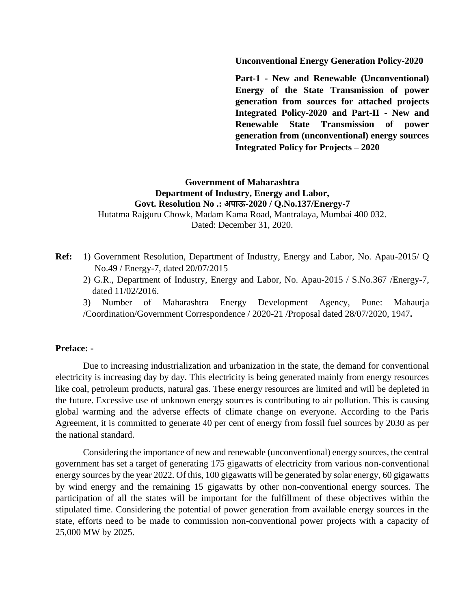**Unconventional Energy Generation Policy-2020**

**Part-1 - New and Renewable (Unconventional) Energy of the State Transmission of power generation from sources for attached projects Integrated Policy-2020 and Part-II - New and Renewable State Transmission of power generation from (unconventional) energy sources Integrated Policy for Projects – 2020**

## **Government of Maharashtra Department of Industry, Energy and Labor, Govt. Resolution No .: अपाऊ-2020 / Q.No.137/Energy-7**

Hutatma Rajguru Chowk, Madam Kama Road, Mantralaya, Mumbai 400 032. Dated: December 31, 2020.

- **Ref:** 1) Government Resolution, Department of Industry, Energy and Labor, No. Apau-2015/ Q No.49 / Energy-7, dated 20/07/2015
	- 2) G.R., Department of Industry, Energy and Labor, No. Apau-2015 / S.No.367 /Energy-7, dated 11/02/2016.
	- 3) Number of Maharashtra Energy Development Agency, Pune: Mahaurja /Coordination/Government Correspondence / 2020-21 /Proposal dated 28/07/2020, 1947**.**

#### **Preface: -**

Due to increasing industrialization and urbanization in the state, the demand for conventional electricity is increasing day by day. This electricity is being generated mainly from energy resources like coal, petroleum products, natural gas. These energy resources are limited and will be depleted in the future. Excessive use of unknown energy sources is contributing to air pollution. This is causing global warming and the adverse effects of climate change on everyone. According to the Paris Agreement, it is committed to generate 40 per cent of energy from fossil fuel sources by 2030 as per the national standard.

Considering the importance of new and renewable (unconventional) energy sources, the central government has set a target of generating 175 gigawatts of electricity from various non-conventional energy sources by the year 2022. Of this, 100 gigawatts will be generated by solar energy, 60 gigawatts by wind energy and the remaining 15 gigawatts by other non-conventional energy sources. The participation of all the states will be important for the fulfillment of these objectives within the stipulated time. Considering the potential of power generation from available energy sources in the state, efforts need to be made to commission non-conventional power projects with a capacity of 25,000 MW by 2025.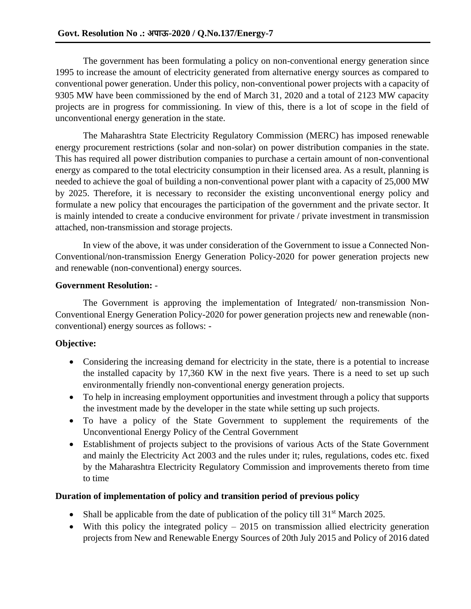The government has been formulating a policy on non-conventional energy generation since 1995 to increase the amount of electricity generated from alternative energy sources as compared to conventional power generation. Under this policy, non-conventional power projects with a capacity of 9305 MW have been commissioned by the end of March 31, 2020 and a total of 2123 MW capacity projects are in progress for commissioning. In view of this, there is a lot of scope in the field of unconventional energy generation in the state.

The Maharashtra State Electricity Regulatory Commission (MERC) has imposed renewable energy procurement restrictions (solar and non-solar) on power distribution companies in the state. This has required all power distribution companies to purchase a certain amount of non-conventional energy as compared to the total electricity consumption in their licensed area. As a result, planning is needed to achieve the goal of building a non-conventional power plant with a capacity of 25,000 MW by 2025. Therefore, it is necessary to reconsider the existing unconventional energy policy and formulate a new policy that encourages the participation of the government and the private sector. It is mainly intended to create a conducive environment for private / private investment in transmission attached, non-transmission and storage projects.

In view of the above, it was under consideration of the Government to issue a Connected Non-Conventional/non-transmission Energy Generation Policy-2020 for power generation projects new and renewable (non-conventional) energy sources.

### **Government Resolution:** -

The Government is approving the implementation of Integrated/ non-transmission Non-Conventional Energy Generation Policy-2020 for power generation projects new and renewable (nonconventional) energy sources as follows: -

# **Objective:**

- Considering the increasing demand for electricity in the state, there is a potential to increase the installed capacity by 17,360 KW in the next five years. There is a need to set up such environmentally friendly non-conventional energy generation projects.
- To help in increasing employment opportunities and investment through a policy that supports the investment made by the developer in the state while setting up such projects.
- To have a policy of the State Government to supplement the requirements of the Unconventional Energy Policy of the Central Government
- Establishment of projects subject to the provisions of various Acts of the State Government and mainly the Electricity Act 2003 and the rules under it; rules, regulations, codes etc. fixed by the Maharashtra Electricity Regulatory Commission and improvements thereto from time to time

### **Duration of implementation of policy and transition period of previous policy**

- Shall be applicable from the date of publication of the policy till  $31<sup>st</sup>$  March 2025.
- With this policy the integrated policy  $-2015$  on transmission allied electricity generation projects from New and Renewable Energy Sources of 20th July 2015 and Policy of 2016 dated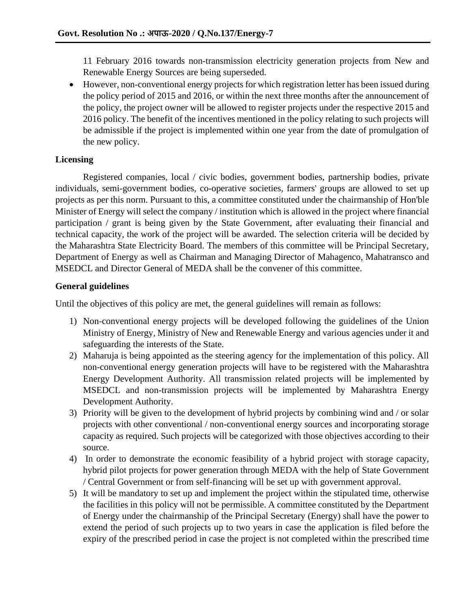11 February 2016 towards non-transmission electricity generation projects from New and Renewable Energy Sources are being superseded.

• However, non-conventional energy projects for which registration letter has been issued during the policy period of 2015 and 2016, or within the next three months after the announcement of the policy, the project owner will be allowed to register projects under the respective 2015 and 2016 policy. The benefit of the incentives mentioned in the policy relating to such projects will be admissible if the project is implemented within one year from the date of promulgation of the new policy.

### **Licensing**

Registered companies, local / civic bodies, government bodies, partnership bodies, private individuals, semi-government bodies, co-operative societies, farmers' groups are allowed to set up projects as per this norm. Pursuant to this, a committee constituted under the chairmanship of Hon'ble Minister of Energy will select the company / institution which is allowed in the project where financial participation / grant is being given by the State Government, after evaluating their financial and technical capacity, the work of the project will be awarded. The selection criteria will be decided by the Maharashtra State Electricity Board. The members of this committee will be Principal Secretary, Department of Energy as well as Chairman and Managing Director of Mahagenco, Mahatransco and MSEDCL and Director General of MEDA shall be the convener of this committee.

### **General guidelines**

Until the objectives of this policy are met, the general guidelines will remain as follows:

- 1) Non-conventional energy projects will be developed following the guidelines of the Union Ministry of Energy, Ministry of New and Renewable Energy and various agencies under it and safeguarding the interests of the State.
- 2) Maharuja is being appointed as the steering agency for the implementation of this policy. All non-conventional energy generation projects will have to be registered with the Maharashtra Energy Development Authority. All transmission related projects will be implemented by MSEDCL and non-transmission projects will be implemented by Maharashtra Energy Development Authority.
- 3) Priority will be given to the development of hybrid projects by combining wind and / or solar projects with other conventional / non-conventional energy sources and incorporating storage capacity as required. Such projects will be categorized with those objectives according to their source.
- 4) In order to demonstrate the economic feasibility of a hybrid project with storage capacity, hybrid pilot projects for power generation through MEDA with the help of State Government / Central Government or from self-financing will be set up with government approval.
- 5) It will be mandatory to set up and implement the project within the stipulated time, otherwise the facilities in this policy will not be permissible. A committee constituted by the Department of Energy under the chairmanship of the Principal Secretary (Energy) shall have the power to extend the period of such projects up to two years in case the application is filed before the expiry of the prescribed period in case the project is not completed within the prescribed time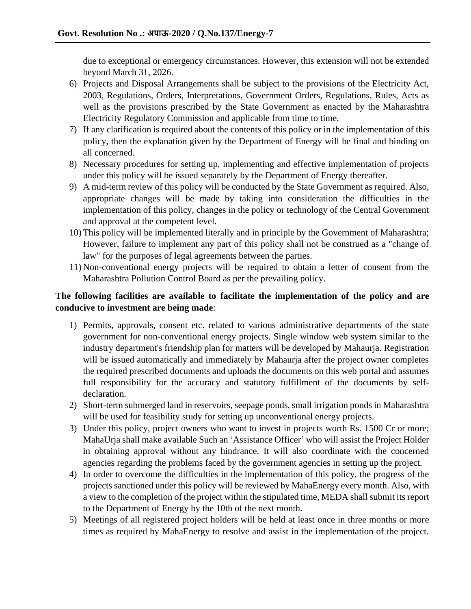due to exceptional or emergency circumstances. However, this extension will not be extended beyond March 31, 2026.

- 6) Projects and Disposal Arrangements shall be subject to the provisions of the Electricity Act, 2003, Regulations, Orders, Interpretations, Government Orders, Regulations, Rules, Acts as well as the provisions prescribed by the State Government as enacted by the Maharashtra Electricity Regulatory Commission and applicable from time to time.
- 7) If any clarification is required about the contents of this policy or in the implementation of this policy, then the explanation given by the Department of Energy will be final and binding on all concerned.
- 8) Necessary procedures for setting up, implementing and effective implementation of projects under this policy will be issued separately by the Department of Energy thereafter.
- 9) A mid-term review of this policy will be conducted by the State Government as required. Also, appropriate changes will be made by taking into consideration the difficulties in the implementation of this policy, changes in the policy or technology of the Central Government and approval at the competent level.
- 10) This policy will be implemented literally and in principle by the Government of Maharashtra; However, failure to implement any part of this policy shall not be construed as a "change of law" for the purposes of legal agreements between the parties.
- 11) Non-conventional energy projects will be required to obtain a letter of consent from the Maharashtra Pollution Control Board as per the prevailing policy.

## **The following facilities are available to facilitate the implementation of the policy and are conducive to investment are being made**:

- 1) Permits, approvals, consent etc. related to various administrative departments of the state government for non-conventional energy projects. Single window web system similar to the industry department's friendship plan for matters will be developed by Mahaurja. Registration will be issued automatically and immediately by Mahaurja after the project owner completes the required prescribed documents and uploads the documents on this web portal and assumes full responsibility for the accuracy and statutory fulfillment of the documents by selfdeclaration.
- 2) Short-term submerged land in reservoirs, seepage ponds, small irrigation ponds in Maharashtra will be used for feasibility study for setting up unconventional energy projects.
- 3) Under this policy, project owners who want to invest in projects worth Rs. 1500 Cr or more; MahaUrja shall make available Such an 'Assistance Officer' who will assist the Project Holder in obtaining approval without any hindrance. It will also coordinate with the concerned agencies regarding the problems faced by the government agencies in setting up the project.
- 4) In order to overcome the difficulties in the implementation of this policy, the progress of the projects sanctioned under this policy will be reviewed by MahaEnergy every month. Also, with a view to the completion of the project within the stipulated time, MEDA shall submit its report to the Department of Energy by the 10th of the next month.
- 5) Meetings of all registered project holders will be held at least once in three months or more times as required by MahaEnergy to resolve and assist in the implementation of the project.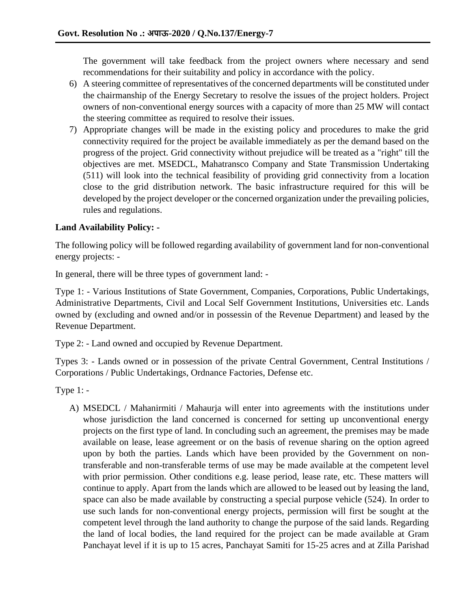The government will take feedback from the project owners where necessary and send recommendations for their suitability and policy in accordance with the policy.

- 6) A steering committee of representatives of the concerned departments will be constituted under the chairmanship of the Energy Secretary to resolve the issues of the project holders. Project owners of non-conventional energy sources with a capacity of more than 25 MW will contact the steering committee as required to resolve their issues.
- 7) Appropriate changes will be made in the existing policy and procedures to make the grid connectivity required for the project be available immediately as per the demand based on the progress of the project. Grid connectivity without prejudice will be treated as a "right" till the objectives are met. MSEDCL, Mahatransco Company and State Transmission Undertaking (511) will look into the technical feasibility of providing grid connectivity from a location close to the grid distribution network. The basic infrastructure required for this will be developed by the project developer or the concerned organization under the prevailing policies, rules and regulations.

## **Land Availability Policy: -**

The following policy will be followed regarding availability of government land for non-conventional energy projects: -

In general, there will be three types of government land: -

Type 1: - Various Institutions of State Government, Companies, Corporations, Public Undertakings, Administrative Departments, Civil and Local Self Government Institutions, Universities etc. Lands owned by (excluding and owned and/or in possessin of the Revenue Department) and leased by the Revenue Department.

Type 2: - Land owned and occupied by Revenue Department.

Types 3: - Lands owned or in possession of the private Central Government, Central Institutions / Corporations / Public Undertakings, Ordnance Factories, Defense etc.

Type 1: -

A) MSEDCL / Mahanirmiti / Mahaurja will enter into agreements with the institutions under whose jurisdiction the land concerned is concerned for setting up unconventional energy projects on the first type of land. In concluding such an agreement, the premises may be made available on lease, lease agreement or on the basis of revenue sharing on the option agreed upon by both the parties. Lands which have been provided by the Government on nontransferable and non-transferable terms of use may be made available at the competent level with prior permission. Other conditions e.g. lease period, lease rate, etc. These matters will continue to apply. Apart from the lands which are allowed to be leased out by leasing the land, space can also be made available by constructing a special purpose vehicle (524). In order to use such lands for non-conventional energy projects, permission will first be sought at the competent level through the land authority to change the purpose of the said lands. Regarding the land of local bodies, the land required for the project can be made available at Gram Panchayat level if it is up to 15 acres, Panchayat Samiti for 15-25 acres and at Zilla Parishad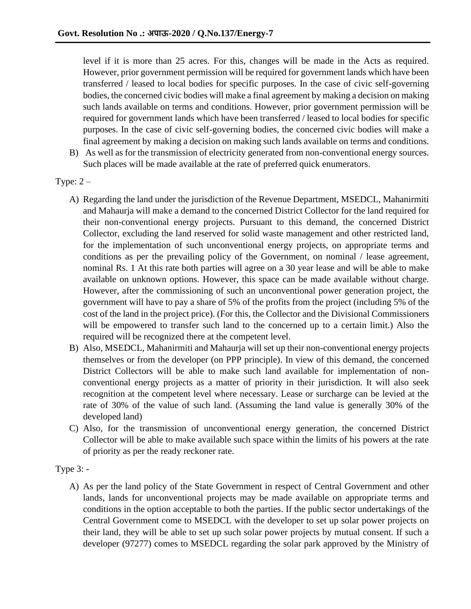level if it is more than 25 acres. For this, changes will be made in the Acts as required. However, prior government permission will be required for government lands which have been transferred / leased to local bodies for specific purposes. In the case of civic self-governing bodies, the concerned civic bodies will make a final agreement by making a decision on making such lands available on terms and conditions. However, prior government permission will be required for government lands which have been transferred / leased to local bodies for specific purposes. In the case of civic self-governing bodies, the concerned civic bodies will make a final agreement by making a decision on making such lands available on terms and conditions.

- B) As well as for the transmission of electricity generated from non-conventional energy sources. Such places will be made available at the rate of preferred quick enumerators.
- Type:  $2 -$ 
	- A) Regarding the land under the jurisdiction of the Revenue Department, MSEDCL, Mahanirmiti and Mahaurja will make a demand to the concerned District Collector for the land required for their non-conventional energy projects. Pursuant to this demand, the concerned District Collector, excluding the land reserved for solid waste management and other restricted land, for the implementation of such unconventional energy projects, on appropriate terms and conditions as per the prevailing policy of the Government, on nominal / lease agreement, nominal Rs. 1 At this rate both parties will agree on a 30 year lease and will be able to make available on unknown options. However, this space can be made available without charge. However, after the commissioning of such an unconventional power generation project, the government will have to pay a share of 5% of the profits from the project (including 5% of the cost of the land in the project price). (For this, the Collector and the Divisional Commissioners will be empowered to transfer such land to the concerned up to a certain limit.) Also the required will be recognized there at the competent level.
	- B) Also, MSEDCL, Mahanirmiti and Mahaurja will set up their non-conventional energy projects themselves or from the developer (on PPP principle). In view of this demand, the concerned District Collectors will be able to make such land available for implementation of nonconventional energy projects as a matter of priority in their jurisdiction. It will also seek recognition at the competent level where necessary. Lease or surcharge can be levied at the rate of 30% of the value of such land. (Assuming the land value is generally 30% of the developed land)
	- C) Also, for the transmission of unconventional energy generation, the concerned District Collector will be able to make available such space within the limits of his powers at the rate of priority as per the ready reckoner rate.
- Type 3:
	- A) As per the land policy of the State Government in respect of Central Government and other lands, lands for unconventional projects may be made available on appropriate terms and conditions in the option acceptable to both the parties. If the public sector undertakings of the Central Government come to MSEDCL with the developer to set up solar power projects on their land, they will be able to set up such solar power projects by mutual consent. If such a developer (97277) comes to MSEDCL regarding the solar park approved by the Ministry of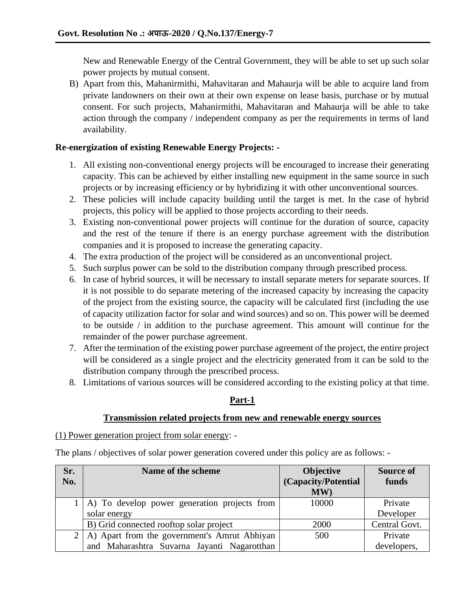New and Renewable Energy of the Central Government, they will be able to set up such solar power projects by mutual consent.

B) Apart from this, Mahanirmithi, Mahavitaran and Mahaurja will be able to acquire land from private landowners on their own at their own expense on lease basis, purchase or by mutual consent. For such projects, Mahanirmithi, Mahavitaran and Mahaurja will be able to take action through the company / independent company as per the requirements in terms of land availability.

## **Re-energization of existing Renewable Energy Projects: -**

- 1. All existing non-conventional energy projects will be encouraged to increase their generating capacity. This can be achieved by either installing new equipment in the same source in such projects or by increasing efficiency or by hybridizing it with other unconventional sources.
- 2. These policies will include capacity building until the target is met. In the case of hybrid projects, this policy will be applied to those projects according to their needs.
- 3. Existing non-conventional power projects will continue for the duration of source, capacity and the rest of the tenure if there is an energy purchase agreement with the distribution companies and it is proposed to increase the generating capacity.
- 4. The extra production of the project will be considered as an unconventional project.
- 5. Such surplus power can be sold to the distribution company through prescribed process.
- 6. In case of hybrid sources, it will be necessary to install separate meters for separate sources. If it is not possible to do separate metering of the increased capacity by increasing the capacity of the project from the existing source, the capacity will be calculated first (including the use of capacity utilization factor for solar and wind sources) and so on. This power will be deemed to be outside / in addition to the purchase agreement. This amount will continue for the remainder of the power purchase agreement.
- 7. After the termination of the existing power purchase agreement of the project, the entire project will be considered as a single project and the electricity generated from it can be sold to the distribution company through the prescribed process.
- 8. Limitations of various sources will be considered according to the existing policy at that time.

# **Part-1**

### **Transmission related projects from new and renewable energy sources**

(1) Power generation project from solar energy: -

The plans / objectives of solar power generation covered under this policy are as follows: -

| Sr.            | Name of the scheme                           | <b>Objective</b>    | <b>Source of</b> |
|----------------|----------------------------------------------|---------------------|------------------|
| No.            |                                              | (Capacity/Potential | funds            |
|                |                                              | MW)                 |                  |
|                | A) To develop power generation projects from | 10000               | Private          |
|                | solar energy                                 |                     | Developer        |
|                | B) Grid connected rooftop solar project      | 2000                | Central Govt.    |
| 2 <sup>1</sup> | A) Apart from the government's Amrut Abhiyan | 500                 | Private          |
|                | and Maharashtra Suvarna Jayanti Nagarotthan  |                     | developers,      |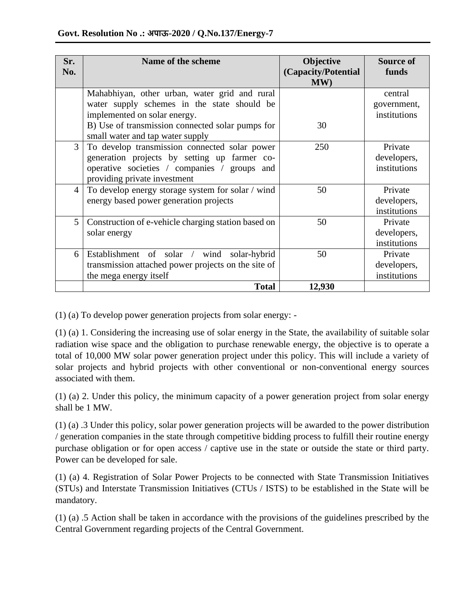| Sr. | Name of the scheme                                                                                                                                                                                                   | Objective                  | <b>Source of</b>                       |
|-----|----------------------------------------------------------------------------------------------------------------------------------------------------------------------------------------------------------------------|----------------------------|----------------------------------------|
| No. |                                                                                                                                                                                                                      | (Capacity/Potential<br>MW) | funds                                  |
|     | Mahabhiyan, other urban, water grid and rural<br>water supply schemes in the state should be<br>implemented on solar energy.<br>B) Use of transmission connected solar pumps for<br>small water and tap water supply | 30                         | central<br>government,<br>institutions |
| 3   | To develop transmission connected solar power<br>generation projects by setting up farmer co-<br>operative societies / companies / groups and<br>providing private investment                                        | 250                        | Private<br>developers,<br>institutions |
| 4   | To develop energy storage system for solar / wind<br>energy based power generation projects                                                                                                                          | 50                         | Private<br>developers,<br>institutions |
| 5   | Construction of e-vehicle charging station based on<br>solar energy                                                                                                                                                  | 50                         | Private<br>developers,<br>institutions |
| 6   | Establishment of solar /<br>wind solar-hybrid<br>transmission attached power projects on the site of<br>the mega energy itself                                                                                       | 50                         | Private<br>developers,<br>institutions |
|     | <b>Total</b>                                                                                                                                                                                                         | 12,930                     |                                        |

(1) (a) To develop power generation projects from solar energy: -

(1) (a) 1. Considering the increasing use of solar energy in the State, the availability of suitable solar radiation wise space and the obligation to purchase renewable energy, the objective is to operate a total of 10,000 MW solar power generation project under this policy. This will include a variety of solar projects and hybrid projects with other conventional or non-conventional energy sources associated with them.

(1) (a) 2. Under this policy, the minimum capacity of a power generation project from solar energy shall be 1 MW.

(1) (a) .3 Under this policy, solar power generation projects will be awarded to the power distribution / generation companies in the state through competitive bidding process to fulfill their routine energy purchase obligation or for open access / captive use in the state or outside the state or third party. Power can be developed for sale.

(1) (a) 4. Registration of Solar Power Projects to be connected with State Transmission Initiatives (STUs) and Interstate Transmission Initiatives (CTUs / ISTS) to be established in the State will be mandatory.

(1) (a) .5 Action shall be taken in accordance with the provisions of the guidelines prescribed by the Central Government regarding projects of the Central Government.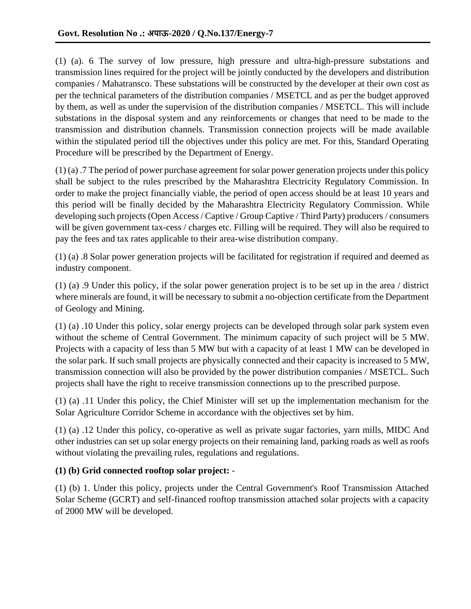(1) (a). 6 The survey of low pressure, high pressure and ultra-high-pressure substations and transmission lines required for the project will be jointly conducted by the developers and distribution companies / Mahatransco. These substations will be constructed by the developer at their own cost as per the technical parameters of the distribution companies / MSETCL and as per the budget approved by them, as well as under the supervision of the distribution companies / MSETCL. This will include substations in the disposal system and any reinforcements or changes that need to be made to the transmission and distribution channels. Transmission connection projects will be made available within the stipulated period till the objectives under this policy are met. For this, Standard Operating Procedure will be prescribed by the Department of Energy.

(1) (a) .7 The period of power purchase agreement for solar power generation projects under this policy shall be subject to the rules prescribed by the Maharashtra Electricity Regulatory Commission. In order to make the project financially viable, the period of open access should be at least 10 years and this period will be finally decided by the Maharashtra Electricity Regulatory Commission. While developing such projects (Open Access / Captive / Group Captive / Third Party) producers / consumers will be given government tax-cess / charges etc. Filling will be required. They will also be required to pay the fees and tax rates applicable to their area-wise distribution company.

(1) (a) .8 Solar power generation projects will be facilitated for registration if required and deemed as industry component.

(1) (a) .9 Under this policy, if the solar power generation project is to be set up in the area / district where minerals are found, it will be necessary to submit a no-objection certificate from the Department of Geology and Mining.

(1) (a) .10 Under this policy, solar energy projects can be developed through solar park system even without the scheme of Central Government. The minimum capacity of such project will be 5 MW. Projects with a capacity of less than 5 MW but with a capacity of at least 1 MW can be developed in the solar park. If such small projects are physically connected and their capacity is increased to 5 MW, transmission connection will also be provided by the power distribution companies / MSETCL. Such projects shall have the right to receive transmission connections up to the prescribed purpose.

(1) (a) .11 Under this policy, the Chief Minister will set up the implementation mechanism for the Solar Agriculture Corridor Scheme in accordance with the objectives set by him.

(1) (a) .12 Under this policy, co-operative as well as private sugar factories, yarn mills, MIDC And other industries can set up solar energy projects on their remaining land, parking roads as well as roofs without violating the prevailing rules, regulations and regulations.

### **(1) (b) Grid connected rooftop solar project:** -

(1) (b) 1. Under this policy, projects under the Central Government's Roof Transmission Attached Solar Scheme (GCRT) and self-financed rooftop transmission attached solar projects with a capacity of 2000 MW will be developed.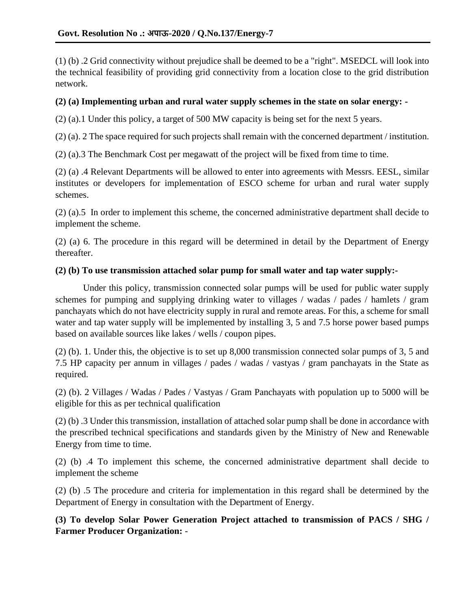(1) (b) .2 Grid connectivity without prejudice shall be deemed to be a "right". MSEDCL will look into the technical feasibility of providing grid connectivity from a location close to the grid distribution network.

### **(2) (a) Implementing urban and rural water supply schemes in the state on solar energy: -**

(2) (a).1 Under this policy, a target of 500 MW capacity is being set for the next 5 years.

(2) (a). 2 The space required for such projects shall remain with the concerned department / institution.

(2) (a).3 The Benchmark Cost per megawatt of the project will be fixed from time to time.

(2) (a) .4 Relevant Departments will be allowed to enter into agreements with Messrs. EESL, similar institutes or developers for implementation of ESCO scheme for urban and rural water supply schemes.

(2) (a).5 In order to implement this scheme, the concerned administrative department shall decide to implement the scheme.

(2) (a) 6. The procedure in this regard will be determined in detail by the Department of Energy thereafter.

#### **(2) (b) To use transmission attached solar pump for small water and tap water supply:-**

Under this policy, transmission connected solar pumps will be used for public water supply schemes for pumping and supplying drinking water to villages / wadas / pades / hamlets / gram panchayats which do not have electricity supply in rural and remote areas. For this, a scheme for small water and tap water supply will be implemented by installing 3, 5 and 7.5 horse power based pumps based on available sources like lakes / wells / coupon pipes.

(2) (b). 1. Under this, the objective is to set up 8,000 transmission connected solar pumps of 3, 5 and 7.5 HP capacity per annum in villages / pades / wadas / vastyas / gram panchayats in the State as required.

(2) (b). 2 Villages / Wadas / Pades / Vastyas / Gram Panchayats with population up to 5000 will be eligible for this as per technical qualification

(2) (b) .3 Under this transmission, installation of attached solar pump shall be done in accordance with the prescribed technical specifications and standards given by the Ministry of New and Renewable Energy from time to time.

(2) (b) .4 To implement this scheme, the concerned administrative department shall decide to implement the scheme

(2) (b) .5 The procedure and criteria for implementation in this regard shall be determined by the Department of Energy in consultation with the Department of Energy.

**(3) To develop Solar Power Generation Project attached to transmission of PACS / SHG / Farmer Producer Organization:** -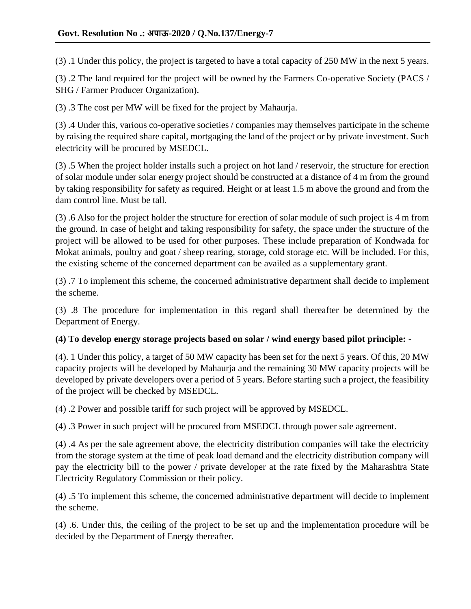(3) .1 Under this policy, the project is targeted to have a total capacity of 250 MW in the next 5 years.

(3) .2 The land required for the project will be owned by the Farmers Co-operative Society (PACS / SHG / Farmer Producer Organization).

(3) .3 The cost per MW will be fixed for the project by Mahaurja.

(3) .4 Under this, various co-operative societies / companies may themselves participate in the scheme by raising the required share capital, mortgaging the land of the project or by private investment. Such electricity will be procured by MSEDCL.

(3) .5 When the project holder installs such a project on hot land / reservoir, the structure for erection of solar module under solar energy project should be constructed at a distance of 4 m from the ground by taking responsibility for safety as required. Height or at least 1.5 m above the ground and from the dam control line. Must be tall.

(3) .6 Also for the project holder the structure for erection of solar module of such project is 4 m from the ground. In case of height and taking responsibility for safety, the space under the structure of the project will be allowed to be used for other purposes. These include preparation of Kondwada for Mokat animals, poultry and goat / sheep rearing, storage, cold storage etc. Will be included. For this, the existing scheme of the concerned department can be availed as a supplementary grant.

(3) .7 To implement this scheme, the concerned administrative department shall decide to implement the scheme.

(3) .8 The procedure for implementation in this regard shall thereafter be determined by the Department of Energy.

### **(4) To develop energy storage projects based on solar / wind energy based pilot principle:** -

(4). 1 Under this policy, a target of 50 MW capacity has been set for the next 5 years. Of this, 20 MW capacity projects will be developed by Mahaurja and the remaining 30 MW capacity projects will be developed by private developers over a period of 5 years. Before starting such a project, the feasibility of the project will be checked by MSEDCL.

(4) .2 Power and possible tariff for such project will be approved by MSEDCL.

(4) .3 Power in such project will be procured from MSEDCL through power sale agreement.

(4) .4 As per the sale agreement above, the electricity distribution companies will take the electricity from the storage system at the time of peak load demand and the electricity distribution company will pay the electricity bill to the power / private developer at the rate fixed by the Maharashtra State Electricity Regulatory Commission or their policy.

(4) .5 To implement this scheme, the concerned administrative department will decide to implement the scheme.

(4) .6. Under this, the ceiling of the project to be set up and the implementation procedure will be decided by the Department of Energy thereafter.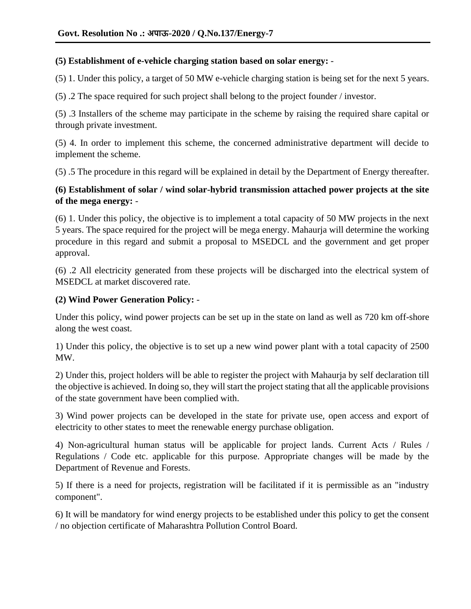#### **(5) Establishment of e-vehicle charging station based on solar energy:** -

(5) 1. Under this policy, a target of 50 MW e-vehicle charging station is being set for the next 5 years.

(5) .2 The space required for such project shall belong to the project founder / investor.

(5) .3 Installers of the scheme may participate in the scheme by raising the required share capital or through private investment.

(5) 4. In order to implement this scheme, the concerned administrative department will decide to implement the scheme.

(5) .5 The procedure in this regard will be explained in detail by the Department of Energy thereafter.

## **(6) Establishment of solar / wind solar-hybrid transmission attached power projects at the site of the mega energy:** -

(6) 1. Under this policy, the objective is to implement a total capacity of 50 MW projects in the next 5 years. The space required for the project will be mega energy. Mahaurja will determine the working procedure in this regard and submit a proposal to MSEDCL and the government and get proper approval.

(6) .2 All electricity generated from these projects will be discharged into the electrical system of MSEDCL at market discovered rate.

### **(2) Wind Power Generation Policy:** -

Under this policy, wind power projects can be set up in the state on land as well as 720 km off-shore along the west coast.

1) Under this policy, the objective is to set up a new wind power plant with a total capacity of 2500 MW.

2) Under this, project holders will be able to register the project with Mahaurja by self declaration till the objective is achieved. In doing so, they will start the project stating that all the applicable provisions of the state government have been complied with.

3) Wind power projects can be developed in the state for private use, open access and export of electricity to other states to meet the renewable energy purchase obligation.

4) Non-agricultural human status will be applicable for project lands. Current Acts / Rules / Regulations / Code etc. applicable for this purpose. Appropriate changes will be made by the Department of Revenue and Forests.

5) If there is a need for projects, registration will be facilitated if it is permissible as an "industry component".

6) It will be mandatory for wind energy projects to be established under this policy to get the consent / no objection certificate of Maharashtra Pollution Control Board.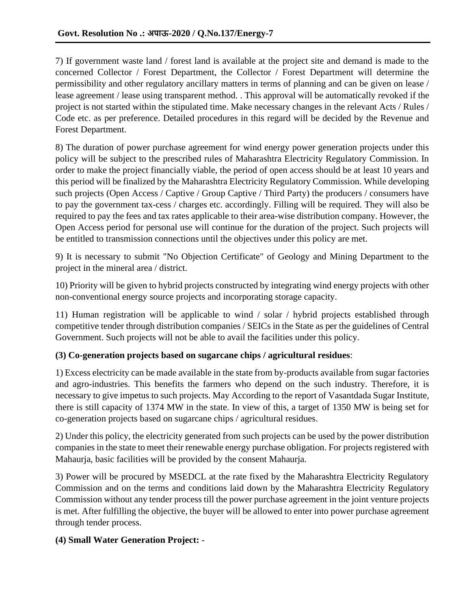7) If government waste land / forest land is available at the project site and demand is made to the concerned Collector / Forest Department, the Collector / Forest Department will determine the permissibility and other regulatory ancillary matters in terms of planning and can be given on lease / lease agreement / lease using transparent method. . This approval will be automatically revoked if the project is not started within the stipulated time. Make necessary changes in the relevant Acts / Rules / Code etc. as per preference. Detailed procedures in this regard will be decided by the Revenue and Forest Department.

8) The duration of power purchase agreement for wind energy power generation projects under this policy will be subject to the prescribed rules of Maharashtra Electricity Regulatory Commission. In order to make the project financially viable, the period of open access should be at least 10 years and this period will be finalized by the Maharashtra Electricity Regulatory Commission. While developing such projects (Open Access / Captive / Group Captive / Third Party) the producers / consumers have to pay the government tax-cess / charges etc. accordingly. Filling will be required. They will also be required to pay the fees and tax rates applicable to their area-wise distribution company. However, the Open Access period for personal use will continue for the duration of the project. Such projects will be entitled to transmission connections until the objectives under this policy are met.

9) It is necessary to submit "No Objection Certificate" of Geology and Mining Department to the project in the mineral area / district.

10) Priority will be given to hybrid projects constructed by integrating wind energy projects with other non-conventional energy source projects and incorporating storage capacity.

11) Human registration will be applicable to wind / solar / hybrid projects established through competitive tender through distribution companies / SEICs in the State as per the guidelines of Central Government. Such projects will not be able to avail the facilities under this policy.

### **(3) Co-generation projects based on sugarcane chips / agricultural residues**:

1) Excess electricity can be made available in the state from by-products available from sugar factories and agro-industries. This benefits the farmers who depend on the such industry. Therefore, it is necessary to give impetus to such projects. May According to the report of Vasantdada Sugar Institute, there is still capacity of 1374 MW in the state. In view of this, a target of 1350 MW is being set for co-generation projects based on sugarcane chips / agricultural residues.

2) Under this policy, the electricity generated from such projects can be used by the power distribution companies in the state to meet their renewable energy purchase obligation. For projects registered with Mahaurja, basic facilities will be provided by the consent Mahaurja.

3) Power will be procured by MSEDCL at the rate fixed by the Maharashtra Electricity Regulatory Commission and on the terms and conditions laid down by the Maharashtra Electricity Regulatory Commission without any tender process till the power purchase agreement in the joint venture projects is met. After fulfilling the objective, the buyer will be allowed to enter into power purchase agreement through tender process.

### **(4) Small Water Generation Project:** -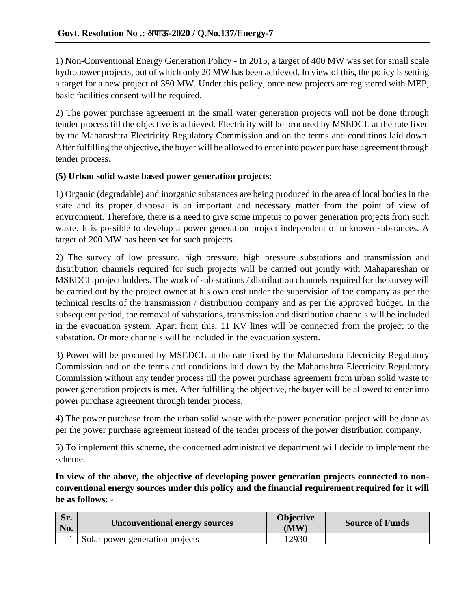1) Non-Conventional Energy Generation Policy - In 2015, a target of 400 MW was set for small scale hydropower projects, out of which only 20 MW has been achieved. In view of this, the policy is setting a target for a new project of 380 MW. Under this policy, once new projects are registered with MEP, basic facilities consent will be required.

2) The power purchase agreement in the small water generation projects will not be done through tender process till the objective is achieved. Electricity will be procured by MSEDCL at the rate fixed by the Maharashtra Electricity Regulatory Commission and on the terms and conditions laid down. After fulfilling the objective, the buyer will be allowed to enter into power purchase agreement through tender process.

#### **(5) Urban solid waste based power generation projects**:

1) Organic (degradable) and inorganic substances are being produced in the area of local bodies in the state and its proper disposal is an important and necessary matter from the point of view of environment. Therefore, there is a need to give some impetus to power generation projects from such waste. It is possible to develop a power generation project independent of unknown substances. A target of 200 MW has been set for such projects.

2) The survey of low pressure, high pressure, high pressure substations and transmission and distribution channels required for such projects will be carried out jointly with Mahapareshan or MSEDCL project holders. The work of sub-stations / distribution channels required for the survey will be carried out by the project owner at his own cost under the supervision of the company as per the technical results of the transmission / distribution company and as per the approved budget. In the subsequent period, the removal of substations, transmission and distribution channels will be included in the evacuation system. Apart from this, 11 KV lines will be connected from the project to the substation. Or more channels will be included in the evacuation system.

3) Power will be procured by MSEDCL at the rate fixed by the Maharashtra Electricity Regulatory Commission and on the terms and conditions laid down by the Maharashtra Electricity Regulatory Commission without any tender process till the power purchase agreement from urban solid waste to power generation projects is met. After fulfilling the objective, the buyer will be allowed to enter into power purchase agreement through tender process.

4) The power purchase from the urban solid waste with the power generation project will be done as per the power purchase agreement instead of the tender process of the power distribution company.

5) To implement this scheme, the concerned administrative department will decide to implement the scheme.

**In view of the above, the objective of developing power generation projects connected to nonconventional energy sources under this policy and the financial requirement required for it will be as follows:** -

| Sr.<br>No. | <b>Unconventional energy sources</b> | <b>Objective</b><br>(MW) | <b>Source of Funds</b> |
|------------|--------------------------------------|--------------------------|------------------------|
|            | Solar power generation projects      | 12930                    |                        |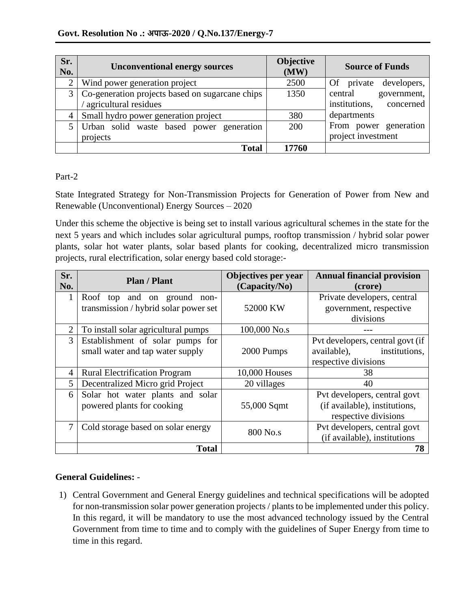| Sr.<br>No.     | <b>Unconventional energy sources</b>                | Objective<br>(MW) | <b>Source of Funds</b>     |
|----------------|-----------------------------------------------------|-------------------|----------------------------|
| $\overline{2}$ | Wind power generation project                       | 2500              | developers,<br>Of private  |
|                | 3   Co-generation projects based on sugarcane chips | 1350              | central<br>government,     |
|                | agricultural residues                               |                   | institutions,<br>concerned |
| 4              | Small hydro power generation project                | 380               | departments                |
| 5.             | Urban solid waste based power generation            | 200               | From power generation      |
|                | projects                                            |                   | project investment         |
|                | <b>Total</b>                                        | 17760             |                            |

### Part-2

State Integrated Strategy for Non-Transmission Projects for Generation of Power from New and Renewable (Unconventional) Energy Sources – 2020

Under this scheme the objective is being set to install various agricultural schemes in the state for the next 5 years and which includes solar agricultural pumps, rooftop transmission / hybrid solar power plants, solar hot water plants, solar based plants for cooking, decentralized micro transmission projects, rural electrification, solar energy based cold storage:-

| Sr.<br>No.  | <b>Plan / Plant</b>                                                  | Objectives per year<br>(Capacity/No) | <b>Annual financial provision</b><br>(crore)                                             |
|-------------|----------------------------------------------------------------------|--------------------------------------|------------------------------------------------------------------------------------------|
| 1           | Roof top and on ground non-<br>transmission / hybrid solar power set | 52000 KW                             | Private developers, central<br>government, respective<br>divisions                       |
| 2           | To install solar agricultural pumps                                  | 100,000 No.s                         |                                                                                          |
| 3           | Establishment of solar pumps for<br>small water and tap water supply | 2000 Pumps                           | Pvt developers, central govt (if<br>available),<br>institutions,<br>respective divisions |
| 4           | <b>Rural Electrification Program</b>                                 | 10,000 Houses                        | 38                                                                                       |
| $5^{\circ}$ | Decentralized Micro grid Project                                     | 20 villages                          | 40                                                                                       |
| 6           | Solar hot water plants and solar<br>powered plants for cooking       | 55,000 Sqmt                          | Pvt developers, central govt<br>(if available), institutions,<br>respective divisions    |
| 7           | Cold storage based on solar energy                                   | 800 No.s                             | Pvt developers, central govt<br>(if available), institutions                             |
|             | <b>Total</b>                                                         |                                      | 78                                                                                       |

# **General Guidelines:** -

1) Central Government and General Energy guidelines and technical specifications will be adopted for non-transmission solar power generation projects / plants to be implemented under this policy. In this regard, it will be mandatory to use the most advanced technology issued by the Central Government from time to time and to comply with the guidelines of Super Energy from time to time in this regard.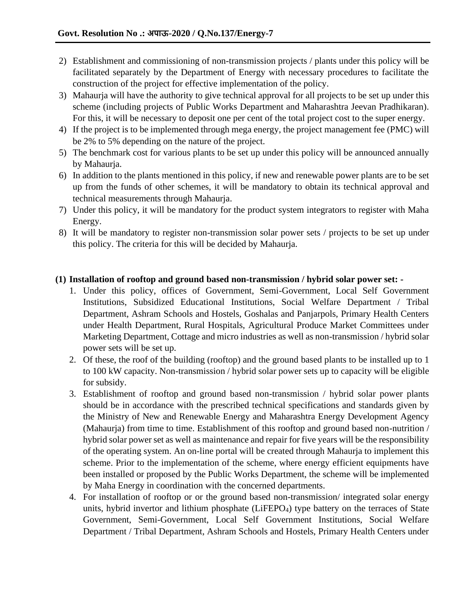- 2) Establishment and commissioning of non-transmission projects / plants under this policy will be facilitated separately by the Department of Energy with necessary procedures to facilitate the construction of the project for effective implementation of the policy.
- 3) Mahaurja will have the authority to give technical approval for all projects to be set up under this scheme (including projects of Public Works Department and Maharashtra Jeevan Pradhikaran). For this, it will be necessary to deposit one per cent of the total project cost to the super energy.
- 4) If the project is to be implemented through mega energy, the project management fee (PMC) will be 2% to 5% depending on the nature of the project.
- 5) The benchmark cost for various plants to be set up under this policy will be announced annually by Mahaurja.
- 6) In addition to the plants mentioned in this policy, if new and renewable power plants are to be set up from the funds of other schemes, it will be mandatory to obtain its technical approval and technical measurements through Mahaurja.
- 7) Under this policy, it will be mandatory for the product system integrators to register with Maha Energy.
- 8) It will be mandatory to register non-transmission solar power sets / projects to be set up under this policy. The criteria for this will be decided by Mahaurja.

### **(1) Installation of rooftop and ground based non-transmission / hybrid solar power set: -**

- 1. Under this policy, offices of Government, Semi-Government, Local Self Government Institutions, Subsidized Educational Institutions, Social Welfare Department / Tribal Department, Ashram Schools and Hostels, Goshalas and Panjarpols, Primary Health Centers under Health Department, Rural Hospitals, Agricultural Produce Market Committees under Marketing Department, Cottage and micro industries as well as non-transmission / hybrid solar power sets will be set up.
- 2. Of these, the roof of the building (rooftop) and the ground based plants to be installed up to 1 to 100 kW capacity. Non-transmission / hybrid solar power sets up to capacity will be eligible for subsidy.
- 3. Establishment of rooftop and ground based non-transmission / hybrid solar power plants should be in accordance with the prescribed technical specifications and standards given by the Ministry of New and Renewable Energy and Maharashtra Energy Development Agency (Mahaurja) from time to time. Establishment of this rooftop and ground based non-nutrition / hybrid solar power set as well as maintenance and repair for five years will be the responsibility of the operating system. An on-line portal will be created through Mahaurja to implement this scheme. Prior to the implementation of the scheme, where energy efficient equipments have been installed or proposed by the Public Works Department, the scheme will be implemented by Maha Energy in coordination with the concerned departments.
- 4. For installation of rooftop or or the ground based non-transmission/ integrated solar energy units, hybrid invertor and lithium phosphate (LiFEPO<sub>4</sub>) type battery on the terraces of State Government, Semi-Government, Local Self Government Institutions, Social Welfare Department / Tribal Department, Ashram Schools and Hostels, Primary Health Centers under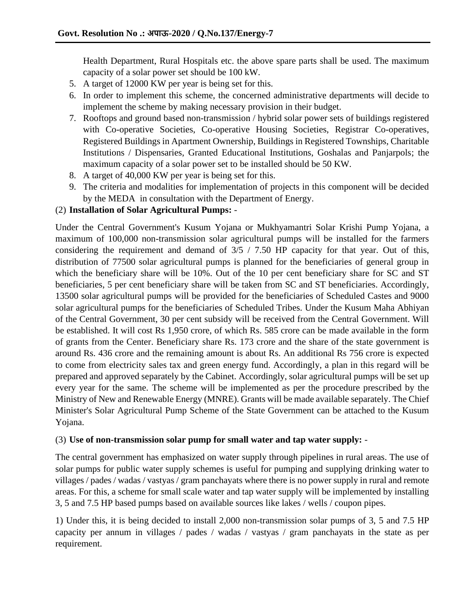Health Department, Rural Hospitals etc. the above spare parts shall be used. The maximum capacity of a solar power set should be 100 kW.

- 5. A target of 12000 KW per year is being set for this.
- 6. In order to implement this scheme, the concerned administrative departments will decide to implement the scheme by making necessary provision in their budget.
- 7. Rooftops and ground based non-transmission / hybrid solar power sets of buildings registered with Co-operative Societies, Co-operative Housing Societies, Registrar Co-operatives, Registered Buildings in Apartment Ownership, Buildings in Registered Townships, Charitable Institutions / Dispensaries, Granted Educational Institutions, Goshalas and Panjarpols; the maximum capacity of a solar power set to be installed should be 50 KW.
- 8. A target of 40,000 KW per year is being set for this.
- 9. The criteria and modalities for implementation of projects in this component will be decided by the MEDA in consultation with the Department of Energy.

#### (2) **Installation of Solar Agricultural Pumps:** -

Under the Central Government's Kusum Yojana or Mukhyamantri Solar Krishi Pump Yojana, a maximum of 100,000 non-transmission solar agricultural pumps will be installed for the farmers considering the requirement and demand of  $3/5$  / 7.50 HP capacity for that year. Out of this, distribution of 77500 solar agricultural pumps is planned for the beneficiaries of general group in which the beneficiary share will be 10%. Out of the 10 per cent beneficiary share for SC and ST beneficiaries, 5 per cent beneficiary share will be taken from SC and ST beneficiaries. Accordingly, 13500 solar agricultural pumps will be provided for the beneficiaries of Scheduled Castes and 9000 solar agricultural pumps for the beneficiaries of Scheduled Tribes. Under the Kusum Maha Abhiyan of the Central Government, 30 per cent subsidy will be received from the Central Government. Will be established. It will cost Rs 1,950 crore, of which Rs. 585 crore can be made available in the form of grants from the Center. Beneficiary share Rs. 173 crore and the share of the state government is around Rs. 436 crore and the remaining amount is about Rs. An additional Rs 756 crore is expected to come from electricity sales tax and green energy fund. Accordingly, a plan in this regard will be prepared and approved separately by the Cabinet. Accordingly, solar agricultural pumps will be set up every year for the same. The scheme will be implemented as per the procedure prescribed by the Ministry of New and Renewable Energy (MNRE). Grants will be made available separately. The Chief Minister's Solar Agricultural Pump Scheme of the State Government can be attached to the Kusum Yojana.

#### (3) **Use of non-transmission solar pump for small water and tap water supply:** -

The central government has emphasized on water supply through pipelines in rural areas. The use of solar pumps for public water supply schemes is useful for pumping and supplying drinking water to villages / pades / wadas / vastyas / gram panchayats where there is no power supply in rural and remote areas. For this, a scheme for small scale water and tap water supply will be implemented by installing 3, 5 and 7.5 HP based pumps based on available sources like lakes / wells / coupon pipes.

1) Under this, it is being decided to install 2,000 non-transmission solar pumps of 3, 5 and 7.5 HP capacity per annum in villages / pades / wadas / vastyas / gram panchayats in the state as per requirement.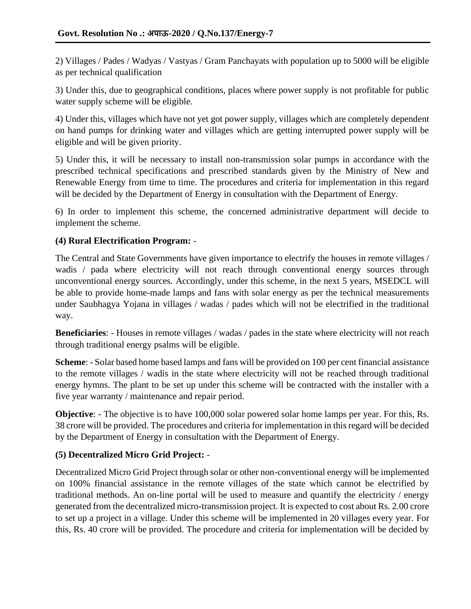2) Villages / Pades / Wadyas / Vastyas / Gram Panchayats with population up to 5000 will be eligible as per technical qualification

3) Under this, due to geographical conditions, places where power supply is not profitable for public water supply scheme will be eligible.

4) Under this, villages which have not yet got power supply, villages which are completely dependent on hand pumps for drinking water and villages which are getting interrupted power supply will be eligible and will be given priority.

5) Under this, it will be necessary to install non-transmission solar pumps in accordance with the prescribed technical specifications and prescribed standards given by the Ministry of New and Renewable Energy from time to time. The procedures and criteria for implementation in this regard will be decided by the Department of Energy in consultation with the Department of Energy.

6) In order to implement this scheme, the concerned administrative department will decide to implement the scheme.

## **(4) Rural Electrification Program:** -

The Central and State Governments have given importance to electrify the houses in remote villages / wadis / pada where electricity will not reach through conventional energy sources through unconventional energy sources. Accordingly, under this scheme, in the next 5 years, MSEDCL will be able to provide home-made lamps and fans with solar energy as per the technical measurements under Saubhagya Yojana in villages / wadas / pades which will not be electrified in the traditional way.

**Beneficiaries**: - Houses in remote villages / wadas / pades in the state where electricity will not reach through traditional energy psalms will be eligible.

**Scheme**: - Solar based home based lamps and fans will be provided on 100 per cent financial assistance to the remote villages / wadis in the state where electricity will not be reached through traditional energy hymns. The plant to be set up under this scheme will be contracted with the installer with a five year warranty / maintenance and repair period.

**Objective**: - The objective is to have 100,000 solar powered solar home lamps per year. For this, Rs. 38 crore will be provided. The procedures and criteria for implementation in this regard will be decided by the Department of Energy in consultation with the Department of Energy.

### **(5) Decentralized Micro Grid Project:** -

Decentralized Micro Grid Project through solar or other non-conventional energy will be implemented on 100% financial assistance in the remote villages of the state which cannot be electrified by traditional methods. An on-line portal will be used to measure and quantify the electricity / energy generated from the decentralized micro-transmission project. It is expected to cost about Rs. 2.00 crore to set up a project in a village. Under this scheme will be implemented in 20 villages every year. For this, Rs. 40 crore will be provided. The procedure and criteria for implementation will be decided by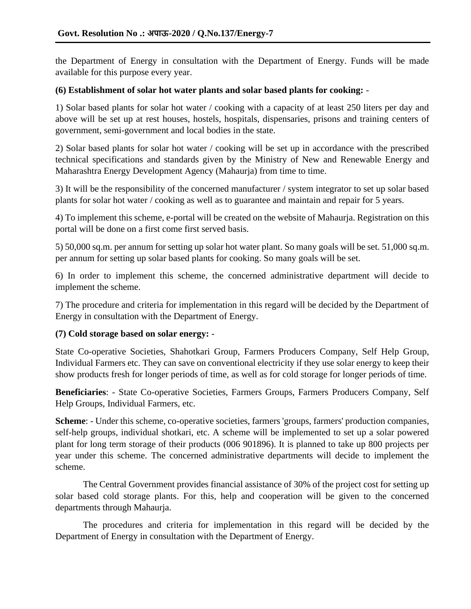the Department of Energy in consultation with the Department of Energy. Funds will be made available for this purpose every year.

#### **(6) Establishment of solar hot water plants and solar based plants for cooking:** -

1) Solar based plants for solar hot water / cooking with a capacity of at least 250 liters per day and above will be set up at rest houses, hostels, hospitals, dispensaries, prisons and training centers of government, semi-government and local bodies in the state.

2) Solar based plants for solar hot water / cooking will be set up in accordance with the prescribed technical specifications and standards given by the Ministry of New and Renewable Energy and Maharashtra Energy Development Agency (Mahaurja) from time to time.

3) It will be the responsibility of the concerned manufacturer / system integrator to set up solar based plants for solar hot water / cooking as well as to guarantee and maintain and repair for 5 years.

4) To implement this scheme, e-portal will be created on the website of Mahaurja. Registration on this portal will be done on a first come first served basis.

5) 50,000 sq.m. per annum for setting up solar hot water plant. So many goals will be set. 51,000 sq.m. per annum for setting up solar based plants for cooking. So many goals will be set.

6) In order to implement this scheme, the concerned administrative department will decide to implement the scheme.

7) The procedure and criteria for implementation in this regard will be decided by the Department of Energy in consultation with the Department of Energy.

### **(7) Cold storage based on solar energy:** -

State Co-operative Societies, Shahotkari Group, Farmers Producers Company, Self Help Group, Individual Farmers etc. They can save on conventional electricity if they use solar energy to keep their show products fresh for longer periods of time, as well as for cold storage for longer periods of time.

**Beneficiaries**: - State Co-operative Societies, Farmers Groups, Farmers Producers Company, Self Help Groups, Individual Farmers, etc.

**Scheme**: - Under this scheme, co-operative societies, farmers 'groups, farmers' production companies, self-help groups, individual shotkari, etc. A scheme will be implemented to set up a solar powered plant for long term storage of their products (006 901896). It is planned to take up 800 projects per year under this scheme. The concerned administrative departments will decide to implement the scheme.

The Central Government provides financial assistance of 30% of the project cost for setting up solar based cold storage plants. For this, help and cooperation will be given to the concerned departments through Mahaurja.

The procedures and criteria for implementation in this regard will be decided by the Department of Energy in consultation with the Department of Energy.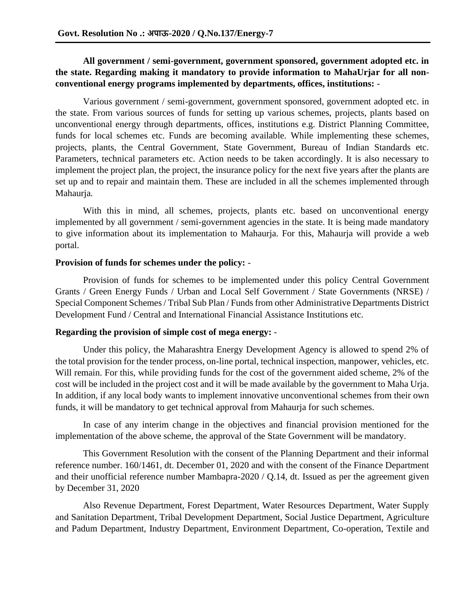### **All government / semi-government, government sponsored, government adopted etc. in the state. Regarding making it mandatory to provide information to MahaUrjar for all nonconventional energy programs implemented by departments, offices, institutions:** -

Various government / semi-government, government sponsored, government adopted etc. in the state. From various sources of funds for setting up various schemes, projects, plants based on unconventional energy through departments, offices, institutions e.g. District Planning Committee, funds for local schemes etc. Funds are becoming available. While implementing these schemes, projects, plants, the Central Government, State Government, Bureau of Indian Standards etc. Parameters, technical parameters etc. Action needs to be taken accordingly. It is also necessary to implement the project plan, the project, the insurance policy for the next five years after the plants are set up and to repair and maintain them. These are included in all the schemes implemented through Mahaurja.

With this in mind, all schemes, projects, plants etc. based on unconventional energy implemented by all government / semi-government agencies in the state. It is being made mandatory to give information about its implementation to Mahaurja. For this, Mahaurja will provide a web portal.

#### **Provision of funds for schemes under the policy:** -

Provision of funds for schemes to be implemented under this policy Central Government Grants / Green Energy Funds / Urban and Local Self Government / State Governments (NRSE) / Special Component Schemes / Tribal Sub Plan / Funds from other Administrative Departments District Development Fund / Central and International Financial Assistance Institutions etc.

#### **Regarding the provision of simple cost of mega energy:** -

Under this policy, the Maharashtra Energy Development Agency is allowed to spend 2% of the total provision for the tender process, on-line portal, technical inspection, manpower, vehicles, etc. Will remain. For this, while providing funds for the cost of the government aided scheme, 2% of the cost will be included in the project cost and it will be made available by the government to Maha Urja. In addition, if any local body wants to implement innovative unconventional schemes from their own funds, it will be mandatory to get technical approval from Mahaurja for such schemes.

In case of any interim change in the objectives and financial provision mentioned for the implementation of the above scheme, the approval of the State Government will be mandatory.

This Government Resolution with the consent of the Planning Department and their informal reference number. 160/1461, dt. December 01, 2020 and with the consent of the Finance Department and their unofficial reference number Mambapra-2020 / Q.14, dt. Issued as per the agreement given by December 31, 2020

Also Revenue Department, Forest Department, Water Resources Department, Water Supply and Sanitation Department, Tribal Development Department, Social Justice Department, Agriculture and Padum Department, Industry Department, Environment Department, Co-operation, Textile and